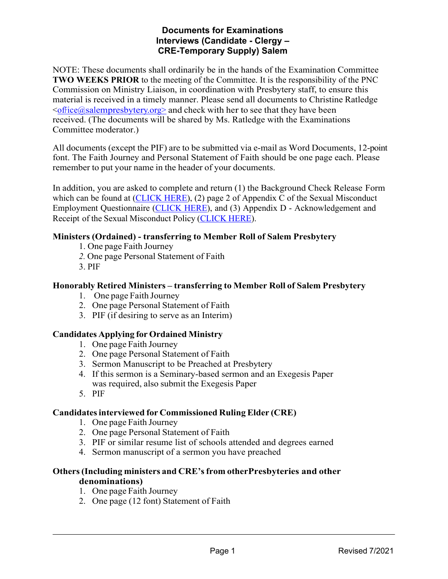# **Documents for Examinations Interviews (Candidate - Clergy – CRE-Temporary Supply) Salem**

NOTE: These documents shall ordinarily be in the hands of the Examination Committee **TWO WEEKS PRIOR** to the meeting of the Committee. It is the responsibility of the PNC Commission on Ministry Liaison, in coordination with Presbytery staff, to ensure this material is received in a timely manner. Please send all documents to Christine Ratledge  $\leq$ office@salempresbytery.org> and check with her to see that they have been received. (The documents will be shared by Ms. Ratledge with the Examinations Committee moderator.)

All documents (except the PIF) are to be submitted via e-mail as Word Documents, 12-point font. The Faith Journey and Personal Statement of Faith should be one page each. Please remember to put your name in the header of your documents.

In addition, you are asked to complete and return (1) the Background Check Release Form which can be found at [\(CLICK](https://www.salempresbytery.org/_files/ugd/0414f6_64611b8522f24364990a59b416505b99.pdf) HERE), (2) page 2 of Appendix C of the Sexual Misconduct Employment Questionnaire [\(CLICK](https://www.salempresbytery.org/_files/ugd/0414f6_95907f74a2e4444cb9d6114f4c5d15eb.pdf) HERE), and (3) Appendix D - Acknowledgement and Receipt of the Sexual Misconduct Policy [\(CLICK](https://www.salempresbytery.org/_files/ugd/0414f6_d83ff4e355204f508efa70f02efd9457.pdf) HERE).

# **Ministers (Ordained) - transferring to Member Roll of Salem Presbytery**

- 1. One page Faith Journey
- *2.* One page Personal Statement of Faith
- 3. PIF

### **Honorably Retired Ministers – transferring to Member Roll of Salem Presbytery**

- 1. One page Faith Journey
- 2. One page Personal Statement of Faith
- 3. PIF (if desiring to serve as an Interim)

### **Candidates Applying for Ordained Ministry**

- 1. One page Faith Journey
- 2. One page Personal Statement of Faith
- 3. Sermon Manuscript to be Preached at Presbytery
- 4. If this sermon is a Seminary-based sermon and an Exegesis Paper was required, also submit the Exegesis Paper
- 5. PIF

### **Candidatesinterviewed for Commissioned Ruling Elder (CRE)**

- 1. One page Faith Journey
- 2. One page Personal Statement of Faith
- 3. PIF or similar resume list of schools attended and degrees earned
- 4. Sermon manuscript of a sermon you have preached

#### **Others(Including ministers and CRE'sfrom otherPresbyteries and other denominations)**

- 1. One page Faith Journey
- 2. One page (12 font) Statement of Faith